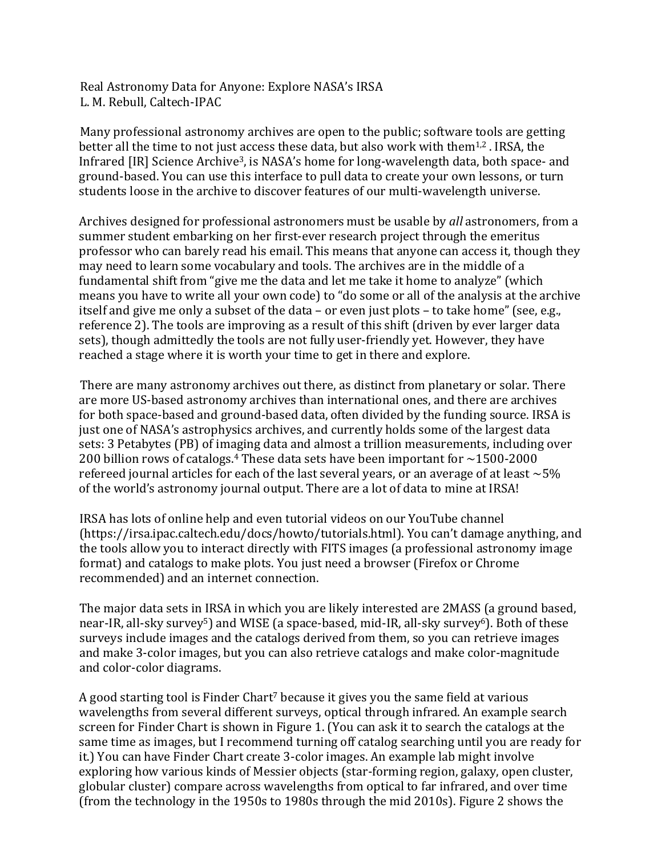Real Astronomy Data for Anyone: Explore NASA's IRSA L. M. Rebull, Caltech-IPAC

Many professional astronomy archives are open to the public; software tools are getting better all the time to not just access these data, but also work with them<sup>1,2</sup>. IRSA, the Infrared  $[IR]$  Science Archive<sup>3</sup>, is NASA's home for long-wavelength data, both space- and ground-based. You can use this interface to pull data to create your own lessons, or turn students loose in the archive to discover features of our multi-wavelength universe.

Archives designed for professional astronomers must be usable by *all* astronomers, from a summer student embarking on her first-ever research project through the emeritus professor who can barely read his email. This means that anyone can access it, though they may need to learn some vocabulary and tools. The archives are in the middle of a fundamental shift from "give me the data and let me take it home to analyze" (which means you have to write all your own code) to "do some or all of the analysis at the archive itself and give me only a subset of the data – or even just plots – to take home" (see, e.g., reference 2). The tools are improving as a result of this shift (driven by ever larger data sets), though admittedly the tools are not fully user-friendly yet. However, they have reached a stage where it is worth your time to get in there and explore.

There are many astronomy archives out there, as distinct from planetary or solar. There are more US-based astronomy archives than international ones, and there are archives for both space-based and ground-based data, often divided by the funding source. IRSA is just one of NASA's astrophysics archives, and currently holds some of the largest data sets: 3 Petabytes (PB) of imaging data and almost a trillion measurements, including over 200 billion rows of catalogs.<sup>4</sup> These data sets have been important for  $\sim$ 1500-2000 refereed journal articles for each of the last several years, or an average of at least  $\sim$  5% of the world's astronomy journal output. There are a lot of data to mine at IRSA!

IRSA has lots of online help and even tutorial videos on our YouTube channel (https://irsa.ipac.caltech.edu/docs/howto/tutorials.html). You can't damage anything, and the tools allow you to interact directly with FITS images (a professional astronomy image format) and catalogs to make plots. You just need a browser (Firefox or Chrome recommended) and an internet connection.

The major data sets in IRSA in which you are likely interested are 2MASS (a ground based, near-IR, all-sky survey<sup>5</sup>) and WISE (a space-based, mid-IR, all-sky survey<sup>6</sup>). Both of these surveys include images and the catalogs derived from them, so you can retrieve images and make 3-color images, but you can also retrieve catalogs and make color-magnitude and color-color diagrams.

A good starting tool is Finder Chart<sup>7</sup> because it gives you the same field at various wavelengths from several different surveys, optical through infrared. An example search screen for Finder Chart is shown in Figure 1. (You can ask it to search the catalogs at the same time as images, but I recommend turning off catalog searching until you are ready for it.) You can have Finder Chart create 3-color images. An example lab might involve exploring how various kinds of Messier objects (star-forming region, galaxy, open cluster, globular cluster) compare across wavelengths from optical to far infrared, and over time (from the technology in the 1950s to 1980s through the mid 2010s). Figure 2 shows the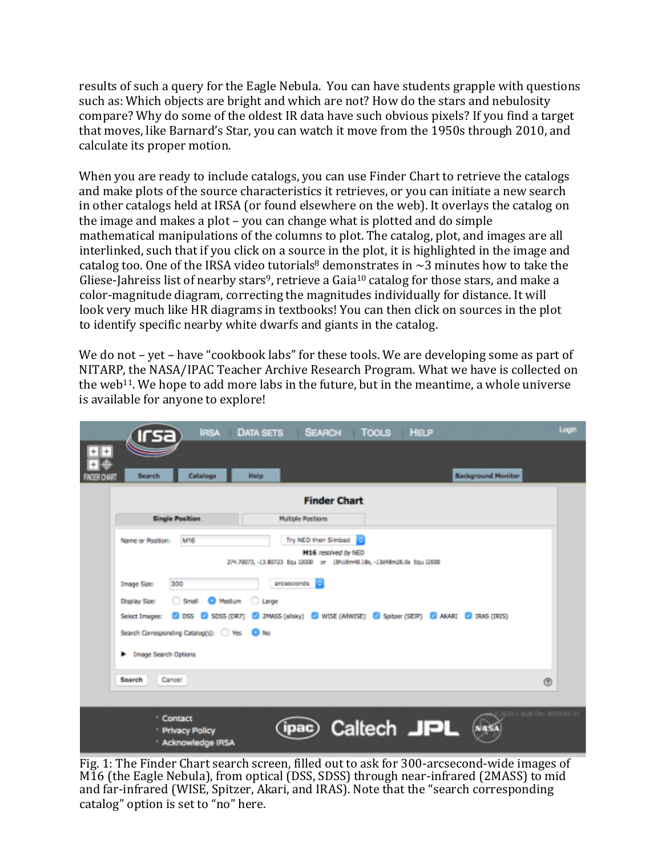results of such a query for the Eagle Nebula. You can have students grapple with questions such as: Which objects are bright and which are not? How do the stars and nebulosity compare? Why do some of the oldest IR data have such obvious pixels? If you find a target that moves, like Barnard's Star, you can watch it move from the 1950s through 2010, and calculate its proper motion.

When you are ready to include catalogs, you can use Finder Chart to retrieve the catalogs and make plots of the source characteristics it retrieves, or you can initiate a new search in other catalogs held at IRSA (or found elsewhere on the web). It overlays the catalog on the image and makes a plot – you can change what is plotted and do simple mathematical manipulations of the columns to plot. The catalog, plot, and images are all interlinked, such that if you click on a source in the plot, it is highlighted in the image and catalog too. One of the IRSA video tutorials<sup>8</sup> demonstrates in  $\sim$ 3 minutes how to take the Gliese-Jahreiss list of nearby stars<sup>9</sup>, retrieve a Gaia<sup>10</sup> catalog for those stars, and make a color-magnitude diagram, correcting the magnitudes individually for distance. It will look very much like HR diagrams in textbooks! You can then click on sources in the plot to identify specific nearby white dwarfs and giants in the catalog.

We do not  $-$  yet  $-$  have "cookbook labs" for these tools. We are developing some as part of NITARP, the NASA/IPAC Teacher Archive Research Program. What we have is collected on the web<sup>11</sup>. We hope to add more labs in the future, but in the meantime, a whole universe is available for anyone to explore!

|                                             | ırsa                                                                                                          | IRSA DATA SETS SEARCH TOOLS HELP                                       |                                            |  |                           | Login                     |  |
|---------------------------------------------|---------------------------------------------------------------------------------------------------------------|------------------------------------------------------------------------|--------------------------------------------|--|---------------------------|---------------------------|--|
|                                             |                                                                                                               |                                                                        |                                            |  |                           |                           |  |
| Search                                      | Catalogs                                                                                                      | Help                                                                   |                                            |  | <b>Background Monitor</b> |                           |  |
| <b>Finder Chart</b>                         |                                                                                                               |                                                                        |                                            |  |                           |                           |  |
|                                             | <b>Single Position</b>                                                                                        | <b>Multiple Positions</b>                                              |                                            |  |                           |                           |  |
| Name or Position:                           | M16                                                                                                           | 274.70073, -13.80723 Equ 12000 or 18h18m48.18s, -13d48m26.0s Equ 12000 | Try NED then Simbad<br>M16 resolved by NED |  |                           |                           |  |
| <b>Image Size:</b>                          | 300                                                                                                           | arcseconds <b>E</b>                                                    |                                            |  |                           |                           |  |
|                                             | Small C Medium C Large<br>Display Size:                                                                       |                                                                        |                                            |  |                           |                           |  |
|                                             | C DSS C SDSS (DR7) C 2MASS (alisky) C WISE (AINVISE) C Spitzer (SEIP) C AKARI C IRAS (IRIS)<br>Select Images: |                                                                        |                                            |  |                           |                           |  |
| Search Corresponding Catalog(s): O Yes O No |                                                                                                               |                                                                        |                                            |  |                           |                           |  |
|                                             | <b>F</b> Image Search Options                                                                                 |                                                                        |                                            |  |                           |                           |  |
| Search                                      | Cancel                                                                                                        |                                                                        |                                            |  |                           | $^{\circ}$                |  |
|                                             |                                                                                                               |                                                                        |                                            |  |                           |                           |  |
|                                             | <sup>*</sup> Contact<br>* Privacy Policy<br><b>Acknowledge IRSA</b>                                           | ipac)                                                                  | Caltech JPL                                |  | NAS                       | 20.1 Boll: On: 2020-03-31 |  |

Fig. 1: The Finder Chart search screen, filled out to ask for 300-arcsecond-wide images of M16 (the Eagle Nebula), from optical (DSS, SDSS) through near-infrared (2MASS) to mid and far-infrared (WISE, Spitzer, Akari, and IRAS). Note that the "search corresponding catalog" option is set to "no" here.